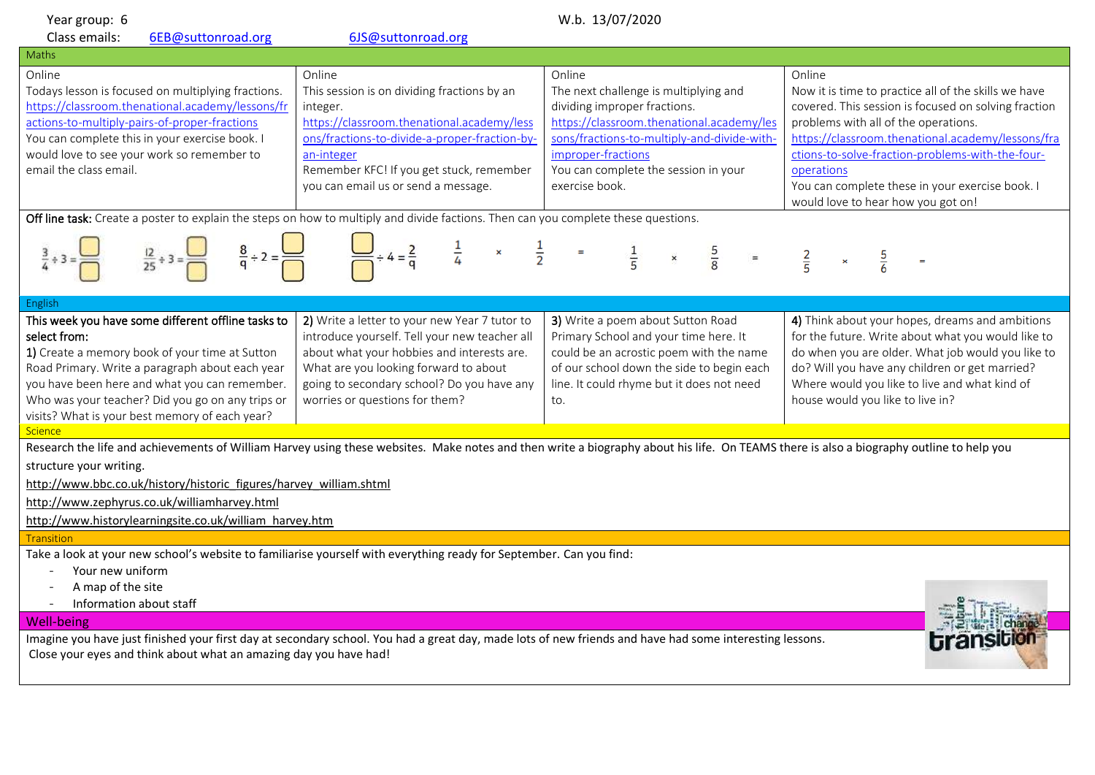| Year group: 6                                                                                                                                                                                                                                                                                                                                                                                                                                               | W.b. 13/07/2020                                                                                                                                                                                                                                                                    |                                                                                                                                                                                                                                                             |                                                                                                                                                                                                                                                                                                                                                                                               |
|-------------------------------------------------------------------------------------------------------------------------------------------------------------------------------------------------------------------------------------------------------------------------------------------------------------------------------------------------------------------------------------------------------------------------------------------------------------|------------------------------------------------------------------------------------------------------------------------------------------------------------------------------------------------------------------------------------------------------------------------------------|-------------------------------------------------------------------------------------------------------------------------------------------------------------------------------------------------------------------------------------------------------------|-----------------------------------------------------------------------------------------------------------------------------------------------------------------------------------------------------------------------------------------------------------------------------------------------------------------------------------------------------------------------------------------------|
| Class emails:<br>6EB@suttonroad.org                                                                                                                                                                                                                                                                                                                                                                                                                         | 6JS@suttonroad.org                                                                                                                                                                                                                                                                 |                                                                                                                                                                                                                                                             |                                                                                                                                                                                                                                                                                                                                                                                               |
| Maths                                                                                                                                                                                                                                                                                                                                                                                                                                                       |                                                                                                                                                                                                                                                                                    |                                                                                                                                                                                                                                                             |                                                                                                                                                                                                                                                                                                                                                                                               |
| Online<br>Todays lesson is focused on multiplying fractions.<br>https://classroom.thenational.academy/lessons/fr<br>actions-to-multiply-pairs-of-proper-fractions<br>You can complete this in your exercise book. I<br>would love to see your work so remember to<br>email the class email.<br>Off line task: Create a poster to explain the steps on how to multiply and divide factions. Then can you complete these questions.<br>$\frac{8}{9} \div 2 =$ | Online<br>This session is on dividing fractions by an<br>integer.<br>https://classroom.thenational.academy/less<br>ons/fractions-to-divide-a-proper-fraction-by-<br>an-integer<br>Remember KFC! If you get stuck, remember<br>you can email us or send a message.<br>$\frac{1}{2}$ | Online<br>The next challenge is multiplying and<br>dividing improper fractions.<br>https://classroom.thenational.academy/les<br>sons/fractions-to-multiply-and-divide-with-<br>improper-fractions<br>You can complete the session in your<br>exercise book. | Online<br>Now it is time to practice all of the skills we have<br>covered. This session is focused on solving fraction<br>problems with all of the operations.<br>https://classroom.thenational.academy/lessons/fra<br>ctions-to-solve-fraction-problems-with-the-four-<br>operations<br>You can complete these in your exercise book. I<br>would love to hear how you got on!<br>$rac{2}{5}$ |
| English                                                                                                                                                                                                                                                                                                                                                                                                                                                     |                                                                                                                                                                                                                                                                                    |                                                                                                                                                                                                                                                             |                                                                                                                                                                                                                                                                                                                                                                                               |
| This week you have some different offline tasks to<br>select from:<br>1) Create a memory book of your time at Sutton<br>Road Primary. Write a paragraph about each year<br>you have been here and what you can remember.<br>Who was your teacher? Did you go on any trips or<br>visits? What is your best memory of each year?                                                                                                                              | 2) Write a letter to your new Year 7 tutor to<br>introduce yourself. Tell your new teacher all<br>about what your hobbies and interests are.<br>What are you looking forward to about<br>going to secondary school? Do you have any<br>worries or questions for them?              | 3) Write a poem about Sutton Road<br>Primary School and your time here. It<br>could be an acrostic poem with the name<br>of our school down the side to begin each<br>line. It could rhyme but it does not need<br>to.                                      | 4) Think about your hopes, dreams and ambitions<br>for the future. Write about what you would like to<br>do when you are older. What job would you like to<br>do? Will you have any children or get married?<br>Where would you like to live and what kind of<br>house would you like to live in?                                                                                             |
| <b>Science</b>                                                                                                                                                                                                                                                                                                                                                                                                                                              |                                                                                                                                                                                                                                                                                    |                                                                                                                                                                                                                                                             |                                                                                                                                                                                                                                                                                                                                                                                               |
| Research the life and achievements of William Harvey using these websites. Make notes and then write a biography about his life. On TEAMS there is also a biography outline to help you<br>structure your writing.<br>http://www.bbc.co.uk/history/historic figures/harvey william.shtml<br>http://www.zephyrus.co.uk/williamharvey.html<br>http://www.historylearningsite.co.uk/william harvey.htm<br><b>Transition</b>                                    |                                                                                                                                                                                                                                                                                    |                                                                                                                                                                                                                                                             |                                                                                                                                                                                                                                                                                                                                                                                               |
| Take a look at your new school's website to familiarise yourself with everything ready for September. Can you find:<br>Your new uniform<br>A map of the site<br>Information about staff<br><b>Well-being</b><br>Imagine you have just finished your first day at secondary school. You had a great day, made lots of new friends and have had some interesting lessons.<br>Close your eyes and think about what an amazing day you have had!                |                                                                                                                                                                                                                                                                                    |                                                                                                                                                                                                                                                             |                                                                                                                                                                                                                                                                                                                                                                                               |